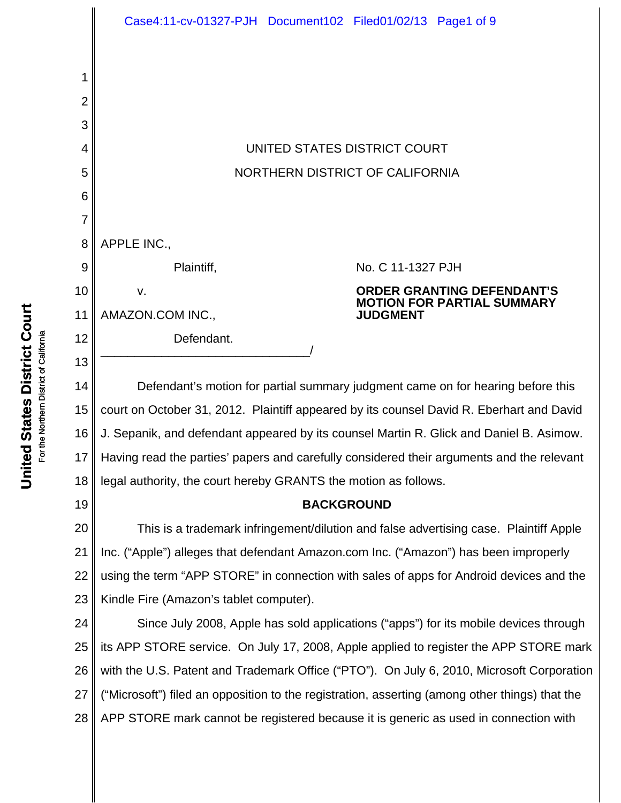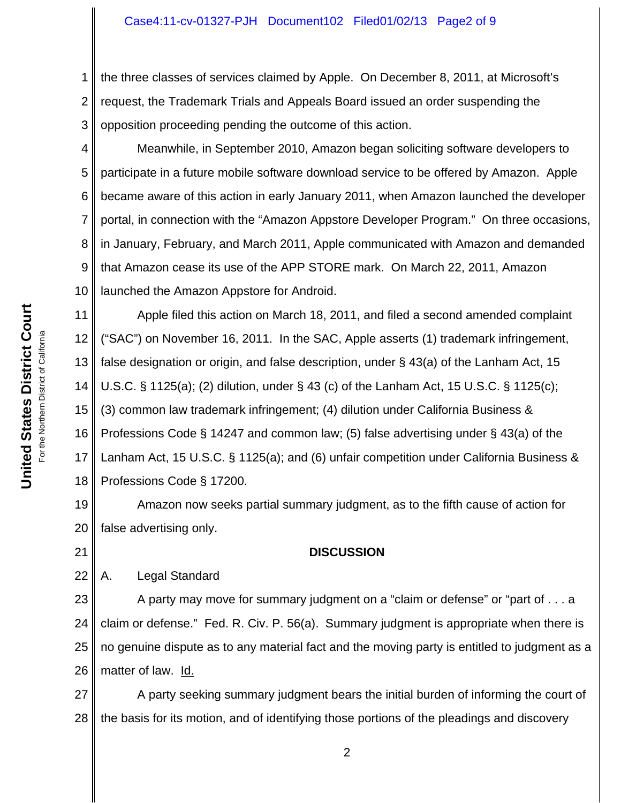### Case4:11-cv-01327-PJH Document102 Filed01/02/13 Page2 of 9

1 2 3 the three classes of services claimed by Apple. On December 8, 2011, at Microsoft's request, the Trademark Trials and Appeals Board issued an order suspending the opposition proceeding pending the outcome of this action.

4 5 6 7 8 9 10 Meanwhile, in September 2010, Amazon began soliciting software developers to participate in a future mobile software download service to be offered by Amazon. Apple became aware of this action in early January 2011, when Amazon launched the developer portal, in connection with the "Amazon Appstore Developer Program." On three occasions, in January, February, and March 2011, Apple communicated with Amazon and demanded that Amazon cease its use of the APP STORE mark. On March 22, 2011, Amazon launched the Amazon Appstore for Android.

11 12 13 14 15 16 17 18 Apple filed this action on March 18, 2011, and filed a second amended complaint ("SAC") on November 16, 2011. In the SAC, Apple asserts (1) trademark infringement, false designation or origin, and false description, under § 43(a) of the Lanham Act, 15 U.S.C. § 1125(a); (2) dilution, under § 43 (c) of the Lanham Act, 15 U.S.C. § 1125(c); (3) common law trademark infringement; (4) dilution under California Business & Professions Code § 14247 and common law; (5) false advertising under § 43(a) of the Lanham Act, 15 U.S.C. § 1125(a); and (6) unfair competition under California Business & Professions Code § 17200.

19 20 Amazon now seeks partial summary judgment, as to the fifth cause of action for false advertising only.

21

# **DISCUSSION**

22 A. Legal Standard

23 24 25 26 A party may move for summary judgment on a "claim or defense" or "part of . . . a claim or defense." Fed. R. Civ. P. 56(a). Summary judgment is appropriate when there is no genuine dispute as to any material fact and the moving party is entitled to judgment as a matter of law. Id.

27 28 A party seeking summary judgment bears the initial burden of informing the court of the basis for its motion, and of identifying those portions of the pleadings and discovery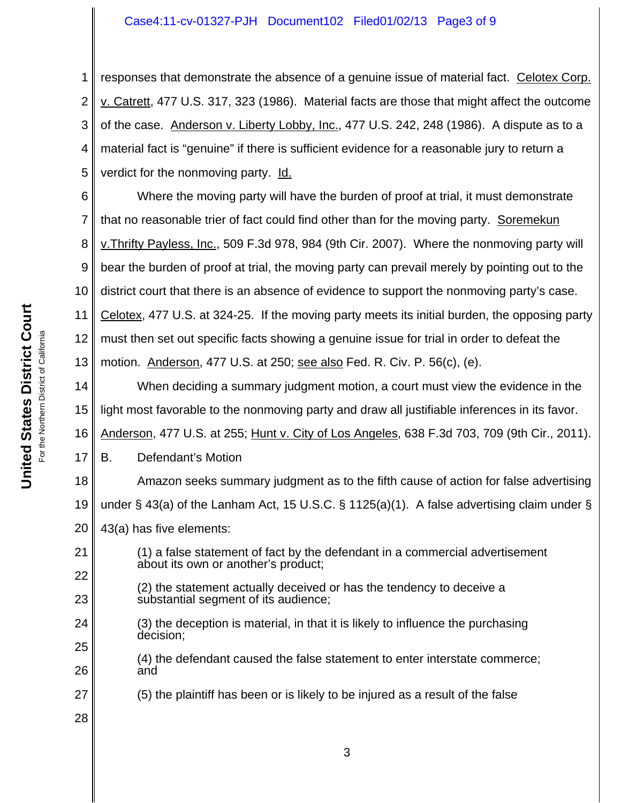### Case4:11-cv-01327-PJH Document102 Filed01/02/13 Page3 of 9

1 2 3 4 5 responses that demonstrate the absence of a genuine issue of material fact. Celotex Corp. v. Catrett, 477 U.S. 317, 323 (1986). Material facts are those that might affect the outcome of the case. Anderson v. Liberty Lobby, Inc., 477 U.S. 242, 248 (1986). A dispute as to a material fact is "genuine" if there is sufficient evidence for a reasonable jury to return a verdict for the nonmoving party. Id.

6 7 8 9 10 11 12 13 Where the moving party will have the burden of proof at trial, it must demonstrate that no reasonable trier of fact could find other than for the moving party. Soremekun v.Thrifty Payless, Inc., 509 F.3d 978, 984 (9th Cir. 2007). Where the nonmoving party will bear the burden of proof at trial, the moving party can prevail merely by pointing out to the district court that there is an absence of evidence to support the nonmoving party's case. Celotex, 477 U.S. at 324-25. If the moving party meets its initial burden, the opposing party must then set out specific facts showing a genuine issue for trial in order to defeat the motion. Anderson, 477 U.S. at 250; see also Fed. R. Civ. P. 56(c), (e).

14 15 When deciding a summary judgment motion, a court must view the evidence in the light most favorable to the nonmoving party and draw all justifiable inferences in its favor.

16 Anderson, 477 U.S. at 255; Hunt v. City of Los Angeles, 638 F.3d 703, 709 (9th Cir., 2011).

17 B. Defendant's Motion

18 19 Amazon seeks summary judgment as to the fifth cause of action for false advertising under § 43(a) of the Lanham Act, 15 U.S.C. § 1125(a)(1). A false advertising claim under §

- 20 43(a) has five elements:
- 21 22 (1) a false statement of fact by the defendant in a commercial advertisement about its own or another's product;
	- (2) the statement actually deceived or has the tendency to deceive a substantial segment of its audience;
	- (3) the deception is material, in that it is likely to influence the purchasing decision;
		- (4) the defendant caused the false statement to enter interstate commerce; and
- 27 (5) the plaintiff has been or is likely to be injured as a result of the false

**United States District Court United States District Court** For the Northern District of California the Northern District of California 등

23

24

25

26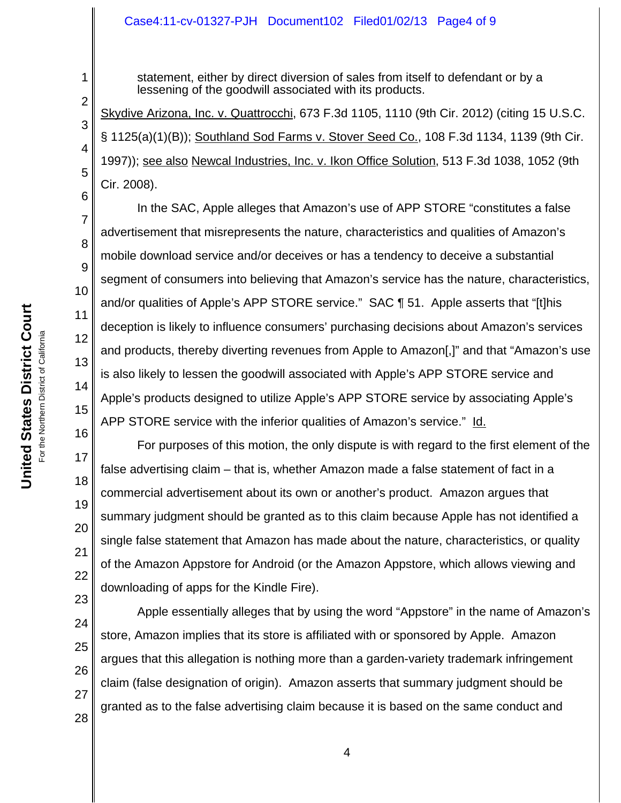#### Case4:11-cv-01327-PJH Document102 Filed01/02/13 Page4 of 9

statement, either by direct diversion of sales from itself to defendant or by a lessening of the goodwill associated with its products.

Skydive Arizona, Inc. v. Quattrocchi, 673 F.3d 1105, 1110 (9th Cir. 2012) (citing 15 U.S.C. § 1125(a)(1)(B)); Southland Sod Farms v. Stover Seed Co., 108 F.3d 1134, 1139 (9th Cir. 1997)); see also Newcal Industries, Inc. v. Ikon Office Solution, 513 F.3d 1038, 1052 (9th Cir. 2008).

In the SAC, Apple alleges that Amazon's use of APP STORE "constitutes a false advertisement that misrepresents the nature, characteristics and qualities of Amazon's mobile download service and/or deceives or has a tendency to deceive a substantial segment of consumers into believing that Amazon's service has the nature, characteristics, and/or qualities of Apple's APP STORE service." SAC ¶ 51. Apple asserts that "[t]his deception is likely to influence consumers' purchasing decisions about Amazon's services and products, thereby diverting revenues from Apple to Amazon[,]" and that "Amazon's use is also likely to lessen the goodwill associated with Apple's APP STORE service and Apple's products designed to utilize Apple's APP STORE service by associating Apple's APP STORE service with the inferior qualities of Amazon's service." Id.

For purposes of this motion, the only dispute is with regard to the first element of the false advertising claim – that is, whether Amazon made a false statement of fact in a commercial advertisement about its own or another's product. Amazon argues that summary judgment should be granted as to this claim because Apple has not identified a single false statement that Amazon has made about the nature, characteristics, or quality of the Amazon Appstore for Android (or the Amazon Appstore, which allows viewing and downloading of apps for the Kindle Fire).

23 Apple essentially alleges that by using the word "Appstore" in the name of Amazon's store, Amazon implies that its store is affiliated with or sponsored by Apple. Amazon argues that this allegation is nothing more than a garden-variety trademark infringement claim (false designation of origin). Amazon asserts that summary judgment should be granted as to the false advertising claim because it is based on the same conduct and

1

2

3

4

5

6

7

8

9

10

11

12

13

14

15

16

17

18

19

20

21

22

**United States District Court** For the Northern District of California

**United States District Court** For the Northern District of California

> 24 25

26 27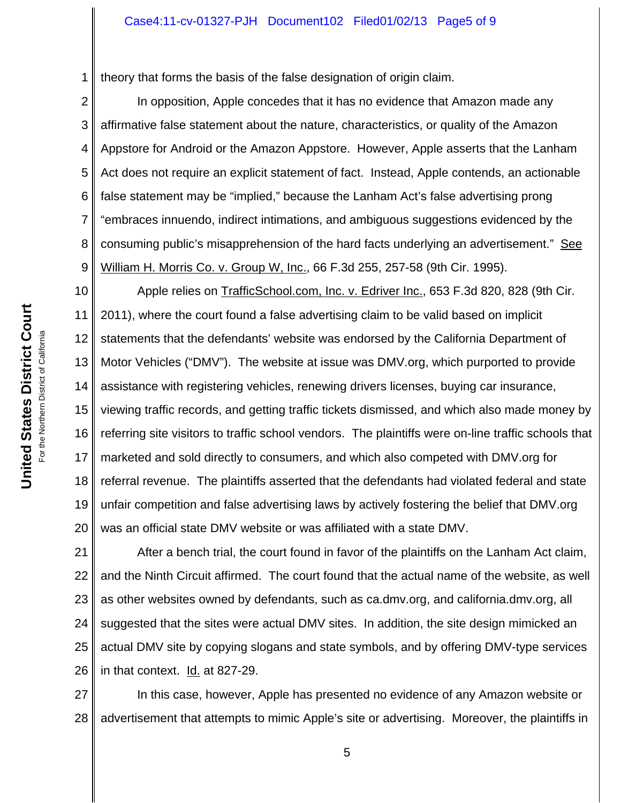1 theory that forms the basis of the false designation of origin claim.

2 3 4 5 6 7 8 9 In opposition, Apple concedes that it has no evidence that Amazon made any affirmative false statement about the nature, characteristics, or quality of the Amazon Appstore for Android or the Amazon Appstore. However, Apple asserts that the Lanham Act does not require an explicit statement of fact. Instead, Apple contends, an actionable false statement may be "implied," because the Lanham Act's false advertising prong "embraces innuendo, indirect intimations, and ambiguous suggestions evidenced by the consuming public's misapprehension of the hard facts underlying an advertisement." See William H. Morris Co. v. Group W, Inc., 66 F.3d 255, 257-58 (9th Cir. 1995).

10 11 12 13 14 15 16 17 18 19 20 Apple relies on TrafficSchool.com, Inc. v. Edriver Inc., 653 F.3d 820, 828 (9th Cir. 2011), where the court found a false advertising claim to be valid based on implicit statements that the defendants' website was endorsed by the California Department of Motor Vehicles ("DMV"). The website at issue was DMV.org, which purported to provide assistance with registering vehicles, renewing drivers licenses, buying car insurance, viewing traffic records, and getting traffic tickets dismissed, and which also made money by referring site visitors to traffic school vendors. The plaintiffs were on-line traffic schools that marketed and sold directly to consumers, and which also competed with DMV.org for referral revenue. The plaintiffs asserted that the defendants had violated federal and state unfair competition and false advertising laws by actively fostering the belief that DMV.org was an official state DMV website or was affiliated with a state DMV.

21 22 23 24 25 26 After a bench trial, the court found in favor of the plaintiffs on the Lanham Act claim, and the Ninth Circuit affirmed. The court found that the actual name of the website, as well as other websites owned by defendants, such as ca.dmv.org, and california.dmv.org, all suggested that the sites were actual DMV sites. In addition, the site design mimicked an actual DMV site by copying slogans and state symbols, and by offering DMV-type services in that context. Id. at 827-29.

27 28 In this case, however, Apple has presented no evidence of any Amazon website or advertisement that attempts to mimic Apple's site or advertising. Moreover, the plaintiffs in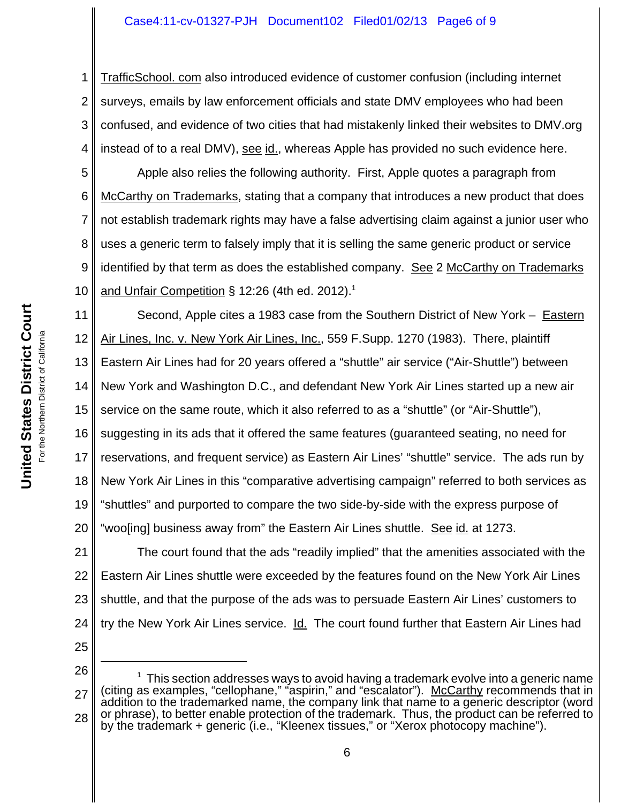### Case4:11-cv-01327-PJH Document102 Filed01/02/13 Page6 of 9

1 2 3 4 TrafficSchool. com also introduced evidence of customer confusion (including internet surveys, emails by law enforcement officials and state DMV employees who had been confused, and evidence of two cities that had mistakenly linked their websites to DMV.org instead of to a real DMV), see id., whereas Apple has provided no such evidence here.

5 6 7 8 9 10 Apple also relies the following authority. First, Apple quotes a paragraph from McCarthy on Trademarks, stating that a company that introduces a new product that does not establish trademark rights may have a false advertising claim against a junior user who uses a generic term to falsely imply that it is selling the same generic product or service identified by that term as does the established company. See 2 McCarthy on Trademarks and Unfair Competition § 12:26 (4th ed. 2012).<sup>1</sup>

11 Second, Apple cites a 1983 case from the Southern District of New York – Eastern Air Lines, Inc. v. New York Air Lines, Inc., 559 F.Supp. 1270 (1983). There, plaintiff

13 Eastern Air Lines had for 20 years offered a "shuttle" air service ("Air-Shuttle") between

14 New York and Washington D.C., and defendant New York Air Lines started up a new air

15 service on the same route, which it also referred to as a "shuttle" (or "Air-Shuttle"),

16 suggesting in its ads that it offered the same features (guaranteed seating, no need for

17 reservations, and frequent service) as Eastern Air Lines' "shuttle" service. The ads run by

18 New York Air Lines in this "comparative advertising campaign" referred to both services as

19 "shuttles" and purported to compare the two side-by-side with the express purpose of

20 "woo[ing] business away from" the Eastern Air Lines shuttle. See id. at 1273.

21 22 23 24 The court found that the ads "readily implied" that the amenities associated with the Eastern Air Lines shuttle were exceeded by the features found on the New York Air Lines shuttle, and that the purpose of the ads was to persuade Eastern Air Lines' customers to try the New York Air Lines service. Id. The court found further that Eastern Air Lines had

25

<sup>26</sup> 27 28  $1$  This section addresses ways to avoid having a trademark evolve into a generic name (citing as examples, "cellophane," "aspirin," and "escalator"). McCarthy recommends that in addition to the trademarked name, the company link that name to a generic descriptor (word or phrase), to better enable protection of the trademark. Thus, the product can be referred to by the trademark + generic (i.e., "Kleenex tissues," or "Xerox photocopy machine").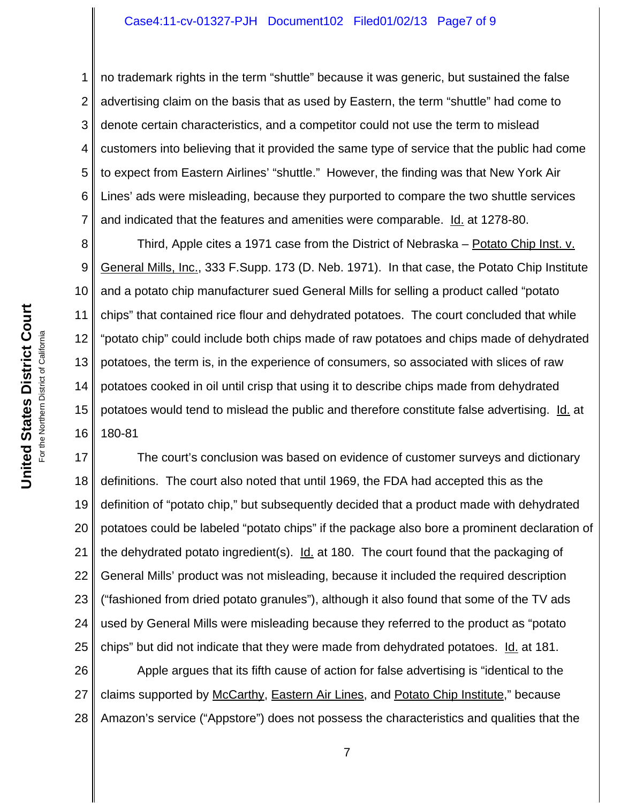#### Case4:11-cv-01327-PJH Document102 Filed01/02/13 Page7 of 9

1 2 3 4 5 6 7 no trademark rights in the term "shuttle" because it was generic, but sustained the false advertising claim on the basis that as used by Eastern, the term "shuttle" had come to denote certain characteristics, and a competitor could not use the term to mislead customers into believing that it provided the same type of service that the public had come to expect from Eastern Airlines' "shuttle." However, the finding was that New York Air Lines' ads were misleading, because they purported to compare the two shuttle services and indicated that the features and amenities were comparable. Id. at 1278-80.

8 9 10 11 12 13 14 15 16 Third, Apple cites a 1971 case from the District of Nebraska – Potato Chip Inst. v. General Mills, Inc., 333 F.Supp. 173 (D. Neb. 1971). In that case, the Potato Chip Institute and a potato chip manufacturer sued General Mills for selling a product called "potato chips" that contained rice flour and dehydrated potatoes. The court concluded that while "potato chip" could include both chips made of raw potatoes and chips made of dehydrated potatoes, the term is, in the experience of consumers, so associated with slices of raw potatoes cooked in oil until crisp that using it to describe chips made from dehydrated potatoes would tend to mislead the public and therefore constitute false advertising. Id. at 180-81

17 18 19 20 21 22 23 24 25 The court's conclusion was based on evidence of customer surveys and dictionary definitions. The court also noted that until 1969, the FDA had accepted this as the definition of "potato chip," but subsequently decided that a product made with dehydrated potatoes could be labeled "potato chips" if the package also bore a prominent declaration of the dehydrated potato ingredient(s). Id. at 180. The court found that the packaging of General Mills' product was not misleading, because it included the required description ("fashioned from dried potato granules"), although it also found that some of the TV ads used by General Mills were misleading because they referred to the product as "potato chips" but did not indicate that they were made from dehydrated potatoes. Id. at 181.

26 27 28 Apple argues that its fifth cause of action for false advertising is "identical to the claims supported by McCarthy, Eastern Air Lines, and Potato Chip Institute," because Amazon's service ("Appstore") does not possess the characteristics and qualities that the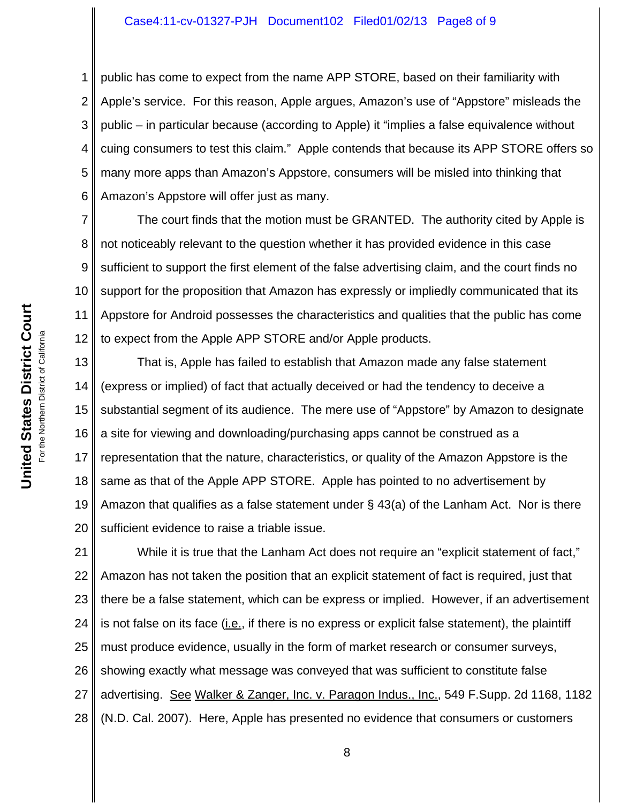#### Case4:11-cv-01327-PJH Document102 Filed01/02/13 Page8 of 9

1 2 3 4 5 6 public has come to expect from the name APP STORE, based on their familiarity with Apple's service. For this reason, Apple argues, Amazon's use of "Appstore" misleads the public – in particular because (according to Apple) it "implies a false equivalence without cuing consumers to test this claim." Apple contends that because its APP STORE offers so many more apps than Amazon's Appstore, consumers will be misled into thinking that Amazon's Appstore will offer just as many.

7 8 9 10 11 12 The court finds that the motion must be GRANTED. The authority cited by Apple is not noticeably relevant to the question whether it has provided evidence in this case sufficient to support the first element of the false advertising claim, and the court finds no support for the proposition that Amazon has expressly or impliedly communicated that its Appstore for Android possesses the characteristics and qualities that the public has come to expect from the Apple APP STORE and/or Apple products.

13 14 15 16 17 18 19 20 That is, Apple has failed to establish that Amazon made any false statement (express or implied) of fact that actually deceived or had the tendency to deceive a substantial segment of its audience. The mere use of "Appstore" by Amazon to designate a site for viewing and downloading/purchasing apps cannot be construed as a representation that the nature, characteristics, or quality of the Amazon Appstore is the same as that of the Apple APP STORE. Apple has pointed to no advertisement by Amazon that qualifies as a false statement under  $\S$  43(a) of the Lanham Act. Nor is there sufficient evidence to raise a triable issue.

21 22 23 24 25 26 27 28 While it is true that the Lanham Act does not require an "explicit statement of fact," Amazon has not taken the position that an explicit statement of fact is required, just that there be a false statement, which can be express or implied. However, if an advertisement is not false on its face  $(i.e.,$  if there is no express or explicit false statement), the plaintiff must produce evidence, usually in the form of market research or consumer surveys, showing exactly what message was conveyed that was sufficient to constitute false advertising. See Walker & Zanger, Inc. v. Paragon Indus., Inc., 549 F.Supp. 2d 1168, 1182 (N.D. Cal. 2007). Here, Apple has presented no evidence that consumers or customers